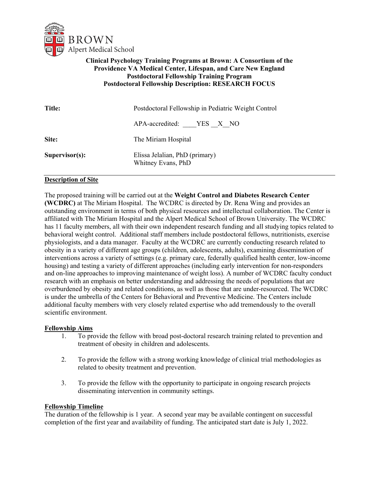

# **Clinical Psychology Training Programs at Brown: A Consortium of the Providence VA Medical Center, Lifespan, and Care New England Postdoctoral Fellowship Training Program Postdoctoral Fellowship Description: RESEARCH FOCUS**

| <b>Title:</b>     | Postdoctoral Fellowship in Pediatric Weight Control  |
|-------------------|------------------------------------------------------|
|                   | APA-accredited: YES X NO                             |
| Site:             | The Miriam Hospital                                  |
| $Supervisor(s)$ : | Elissa Jelalian, PhD (primary)<br>Whitney Evans, PhD |

### **Description of Site**

The proposed training will be carried out at the **Weight Control and Diabetes Research Center (WCDRC)** at The Miriam Hospital. The WCDRC is directed by Dr. Rena Wing and provides an outstanding environment in terms of both physical resources and intellectual collaboration. The Center is affiliated with The Miriam Hospital and the Alpert Medical School of Brown University. The WCDRC has 11 faculty members, all with their own independent research funding and all studying topics related to behavioral weight control. Additional staff members include postdoctoral fellows, nutritionists, exercise physiologists, and a data manager. Faculty at the WCDRC are currently conducting research related to obesity in a variety of different age groups (children, adolescents, adults), examining dissemination of interventions across a variety of settings (e.g. primary care, federally qualified health center, low-income housing) and testing a variety of different approaches (including early intervention for non-responders and on-line approaches to improving maintenance of weight loss). A number of WCDRC faculty conduct research with an emphasis on better understanding and addressing the needs of populations that are overburdened by obesity and related conditions, as well as those that are under-resourced. The WCDRC is under the umbrella of the Centers for Behavioral and Preventive Medicine. The Centers include additional faculty members with very closely related expertise who add tremendously to the overall scientific environment.

#### **Fellowship Aims**

- 1. To provide the fellow with broad post-doctoral research training related to prevention and treatment of obesity in children and adolescents.
- 2. To provide the fellow with a strong working knowledge of clinical trial methodologies as related to obesity treatment and prevention.
- 3. To provide the fellow with the opportunity to participate in ongoing research projects disseminating intervention in community settings.

#### **Fellowship Timeline**

The duration of the fellowship is 1 year. A second year may be available contingent on successful completion of the first year and availability of funding. The anticipated start date is July 1, 2022.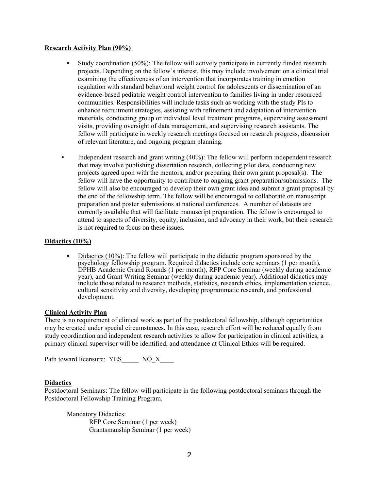### **Research Activity Plan (90%)**

- Study coordination (50%): The fellow will actively participate in currently funded research projects. Depending on the fellow's interest, this may include involvement on a clinical trial examining the effectiveness of an intervention that incorporates training in emotion regulation with standard behavioral weight control for adolescents or dissemination of an evidence-based pediatric weight control intervention to families living in under resourced communities. Responsibilities will include tasks such as working with the study PIs to enhance recruitment strategies, assisting with refinement and adaptation of intervention materials, conducting group or individual level treatment programs, supervising assessment visits, providing oversight of data management, and supervising research assistants. The fellow will participate in weekly research meetings focused on research progress, discussion of relevant literature, and ongoing program planning.
- Independent research and grant writing (40%): The fellow will perform independent research that may involve publishing dissertation research, collecting pilot data, conducting new projects agreed upon with the mentors, and/or preparing their own grant proposal(s). The fellow will have the opportunity to contribute to ongoing grant preparation/submissions. The fellow will also be encouraged to develop their own grant idea and submit a grant proposal by the end of the fellowship term. The fellow will be encouraged to collaborate on manuscript preparation and poster submissions at national conferences. A number of datasets are currently available that will facilitate manuscript preparation. The fellow is encouraged to attend to aspects of diversity, equity, inclusion, and advocacy in their work, but their research is not required to focus on these issues.

### **Didactics (10%)**

 Didactics (10%): The fellow will participate in the didactic program sponsored by the psychology fellowship program. Required didactics include core seminars (1 per month), DPHB Academic Grand Rounds (1 per month), RFP Core Seminar (weekly during academic year), and Grant Writing Seminar (weekly during academic year). Additional didactics may include those related to research methods, statistics, research ethics, implementation science, cultural sensitivity and diversity, developing programmatic research, and professional development.

#### **Clinical Activity Plan**

There is no requirement of clinical work as part of the postdoctoral fellowship, although opportunities may be created under special circumstances. In this case, research effort will be reduced equally from study coordination and independent research activities to allow for participation in clinical activities, a primary clinical supervisor will be identified, and attendance at Clinical Ethics will be required.

Path toward licensure: YES NO\_X

### **Didactics**

Postdoctoral Seminars: The fellow will participate in the following postdoctoral seminars through the Postdoctoral Fellowship Training Program.

Mandatory Didactics: RFP Core Seminar (1 per week) Grantsmanship Seminar (1 per week)